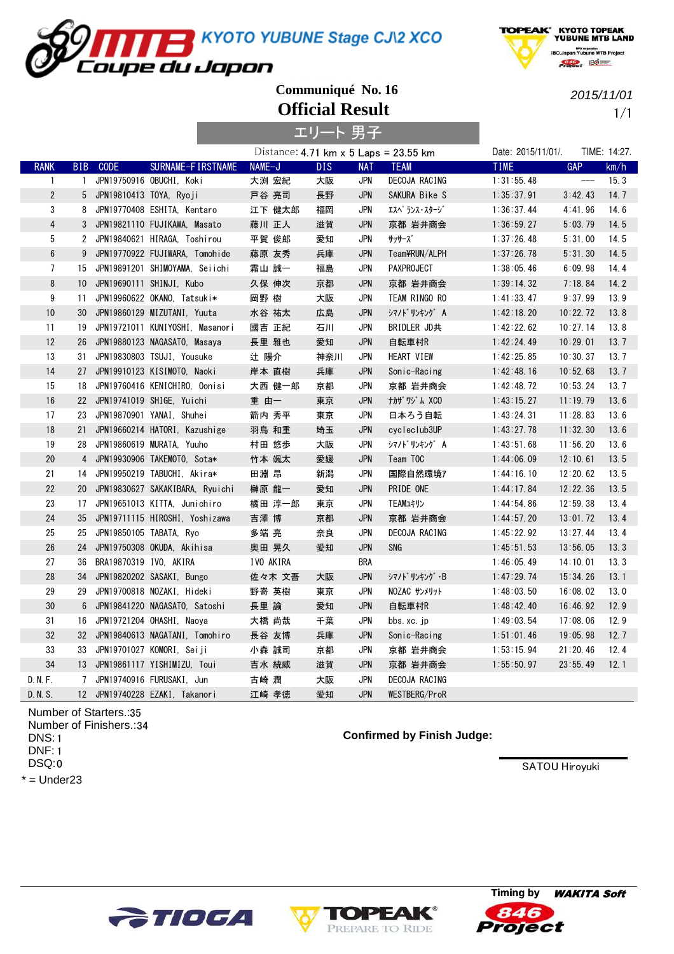KYOTO YUBUNE Stage CJ\2 XCO



**Official Result Communiqué No. 16**

oupe du Japon

2015/11/01

HPO cerporation<br>IBO.Japan Yubune MTB Project

 $B$   $\frac{a}{b}$   $B$   $\frac{a}{c}$ 

1/1

|                  |              |                           |                                    |           | エリート 男子 |            |                                                                      |                    |                            |              |
|------------------|--------------|---------------------------|------------------------------------|-----------|---------|------------|----------------------------------------------------------------------|--------------------|----------------------------|--------------|
|                  |              |                           |                                    |           |         |            | Distance: $4.71 \text{ km} \times 5 \text{ Laps} = 23.55 \text{ km}$ | Date: 2015/11/01/. |                            | TIME: 14:27. |
| <b>RANK</b>      | <b>BIB</b>   | <b>CODE</b>               | SURNAME-FIRSTNAME                  | NAME-J    | DIS.    | <b>NAT</b> | <b>TEAM</b>                                                          | <b>TIME</b>        | <b>GAP</b>                 | km/h         |
| $\mathbf{1}$     | $\mathbf{1}$ |                           | JPN19750916 OBUCHI, Koki           | 大渕 宏紀     | 大阪      | JPN        | DECOJA RACING                                                        | 1:31:55.48         | $\qquad \qquad \text{---}$ | 15.3         |
| $\overline{2}$   |              | 5 JPN19810413 TOYA, Ryoji |                                    | 戸谷 亮司     | 長野      | <b>JPN</b> | SAKURA Bike S                                                        | 1:35:37.91         | 3:42.43                    | 14.7         |
| 3                | 8            |                           | JPN19770408 ESHITA, Kentaro        | 江下 健太郎    | 福岡      | <b>JPN</b> | エスヘ゜ランス・スタージ゛                                                        | 1:36:37.44         | 4:41.96                    | 14.6         |
| $\overline{4}$   |              |                           | 3 JPN19821110 FUJIKAWA, Masato     | 藤川 正人     | 滋賀      | <b>JPN</b> | 京都 岩井商会                                                              | 1:36:59.27         | 5:03.79                    | 14.5         |
| 5                |              |                           | 2 JPN19840621 HIRAGA, Toshirou     | 平賀 俊郎     | 愛知      | <b>JPN</b> | サッサーズ゛                                                               | 1:37:26.48         | 5:31.00                    | 14.5         |
| $\boldsymbol{6}$ |              |                           | 9 JPN19770922 FUJIWARA, Tomohide   | 藤原 友秀     | 兵庫      | <b>JPN</b> | Team¥RUN/ALPH                                                        | 1:37:26.78         | 5:31.30                    | 14.5         |
| $\overline{7}$   |              |                           | 15 JPN19891201 SHIMOYAMA, Seiichi  | 霜山 誠一     | 福島      | <b>JPN</b> | <b>PAXPROJECT</b>                                                    | 1:38:05.46         | 6:09.98                    | 14.4         |
| $\, 8$           |              |                           | 10 JPN19690111 SHINJI, Kubo        | 久保 伸次     | 京都      | <b>JPN</b> | 京都 岩井商会                                                              | 1:39:14.32         | 7:18.84                    | 14.2         |
| 9                | 11           |                           | JPN19960622 OKANO, Tatsuki*        | 岡野 樹      | 大阪      | <b>JPN</b> | TEAM RINGO RO                                                        | 1:41:33.47         | 9:37.99                    | 13.9         |
| 10               | 30           |                           | JPN19860129 MIZUTANI, Yuuta        | 水谷 祐太     | 広島      | <b>JPN</b> | シマノドリンキング A                                                          | 1:42:18.20         | 10:22.72                   | 13.8         |
| 11               | 19           |                           | JPN19721011 KUNIYOSHI, Masanori    | 國吉 正紀     | 石川      | JPN        | BRIDLER JD共                                                          | 1:42:22.62         | 10:27.14                   | 13.8         |
| 12               | 26           |                           | JPN19880123 NAGASATO, Masaya       | 長里 雅也     | 愛知      | <b>JPN</b> | 自転車村R                                                                | 1:42:24.49         | 10:29.01                   | 13.7         |
| 13               | 31           |                           | JPN19830803 TSUJI, Yousuke         | 辻 陽介      | 神奈川     | JPN        | HEART VIEW                                                           | 1:42:25.85         | 10:30.37                   | 13.7         |
| 14               |              |                           | 27 JPN19910123 KISIMOTO, Naoki     | 岸本 直樹     | 兵庫      | <b>JPN</b> | Sonic-Racing                                                         | 1:42:48.16         | 10:52.68                   | 13.7         |
| 15               |              |                           | 18 JPN19760416 KENICHIRO, Oonisi   | 大西 健一郎    | 京都      | <b>JPN</b> | 京都 岩井商会                                                              | 1:42:48.72         | 10:53.24                   | 13.7         |
| 16               |              |                           | 22 JPN19741019 SHIGE, Yuichi       | 重 由一      | 東京      | <b>JPN</b> | ナカザワジム XCO                                                           | 1:43:15.27         | 11:19.79                   | 13.6         |
| 17               | 23           |                           | JPN19870901 YANAI, Shuhei          | 箭内 秀平     | 東京      | <b>JPN</b> | 日本ろう自転                                                               | 1:43:24.31         | 11:28.83                   | 13.6         |
| 18               | 21           |                           | JPN19660214 HATORI, Kazushige      | 羽鳥 和重     | 埼玉      | <b>JPN</b> | cycleclub3UP                                                         | 1:43:27.78         | 11:32.30                   | 13.6         |
| 19               | 28           |                           | JPN19860619 MURATA, Yuuho          | 村田 悠歩     | 大阪      | JPN        | シマノドリンキング A                                                          | 1:43:51.68         | 11:56.20                   | 13.6         |
| 20               |              |                           | 4 JPN19930906 TAKEMOTO, Sota*      | 竹本 颯太     | 愛媛      | <b>JPN</b> | Team TOC                                                             | 1:44:06.09         | 12:10.61                   | 13.5         |
| 21               |              |                           | 14 JPN19950219 TABUCHI, Akira*     | 田淵 昂      | 新潟      | JPN        | 国際自然環境7                                                              | 1:44:16.10         | 12:20.62                   | 13.5         |
| 22               |              |                           | 20 JPN19830627 SAKAKIBARA, Ryuichi | 榊原 龍一     | 愛知      | <b>JPN</b> | PRIDE ONE                                                            | 1:44:17.84         | 12:22.36                   | 13.5         |
| 23               | 17           |                           | JPN19651013 KITTA, Junichiro       | 橘田 淳一郎    | 東京      | <b>JPN</b> | TEAMユキリン                                                             | 1:44:54.86         | 12:59.38                   | 13.4         |
| 24               |              |                           | 35 JPN19711115 HIROSHI, Yoshizawa  | 吉澤 博      | 京都      | <b>JPN</b> | 京都 岩井商会                                                              | 1:44:57.20         | 13:01.72                   | 13.4         |
| 25               | 25           | JPN19850105 TABATA, Ryo   |                                    | 多端 亮      | 奈良      | <b>JPN</b> | DECOJA RACING                                                        | 1:45:22.92         | 13:27.44                   | 13.4         |
| 26               | 24           |                           | JPN19750308 OKUDA, Akihisa         | 奥田 晃久     | 愛知      | <b>JPN</b> | SNG                                                                  | 1:45:51.53         | 13:56.05                   | 13.3         |
| 27               | 36           | BRA19870319 IVO, AKIRA    |                                    | IVO AKIRA |         | <b>BRA</b> |                                                                      | 1:46:05.49         | 14:10.01                   | 13.3         |
| 28               | 34           |                           | JPN19820202 SASAKI, Bungo          | 佐々木 文吾    | 大阪      | <b>JPN</b> | シマノドリンキング・B                                                          | 1:47:29.74         | 15:34.26                   | 13.1         |
| 29               | 29           |                           | JPN19700818 NOZAKI, Hideki         | 野嵜 英樹     | 東京      | JPN        | NOZAC サンメリット                                                         | 1:48:03.50         | 16:08.02                   | 13.0         |
| 30               | 6            |                           | JPN19841220 NAGASATO, Satoshi      | 長里 諭      | 愛知      | <b>JPN</b> | 自転車村R                                                                | 1:48:42.40         | 16:46.92                   | 12.9         |
| 31               | 16           |                           | JPN19721204 OHASHI, Naoya          | 大橋 尚哉     | 千葉      | JPN        | bbs.xc.jp                                                            | 1:49:03.54         | 17:08.06                   | 12.9         |
| 32               |              |                           | 32 JPN19840613 NAGATANI, Tomohiro  | 長谷 友博     | 兵庫      | <b>JPN</b> | Sonic-Racing                                                         | 1:51:01.46         | 19:05.98                   | 12.7         |
| 33               |              |                           | 33 JPN19701027 KOMORI, Seiji       | 小森 誠司     | 京都      | <b>JPN</b> | 京都 岩井商会                                                              | 1:53:15.94         | 21:20.46                   | 12.4         |
| 34               |              |                           | 13 JPN19861117 YISHIMIZU, Toui     | 吉水 統威     | 滋賀      | <b>JPN</b> | 京都 岩井商会                                                              | 1:55:50.97         | 23:55.49                   | 12.1         |
| D. N. F.         |              |                           | 7 JPN19740916 FURUSAKI, Jun        | 古崎 潤      | 大阪      | <b>JPN</b> | DECOJA RACING                                                        |                    |                            |              |
| D. N. S.         |              |                           | 12 JPN19740228 EZAKI, Takanori     | 江崎 孝徳     | 愛知      | <b>JPN</b> | WESTBERG/ProR                                                        |                    |                            |              |

Number of Starters.:35 Number of Finishers.:34 1 DNS: 1 DNF: 0 DSQ:

 $*$  = Under23

**Confirmed by Finish Judge:**





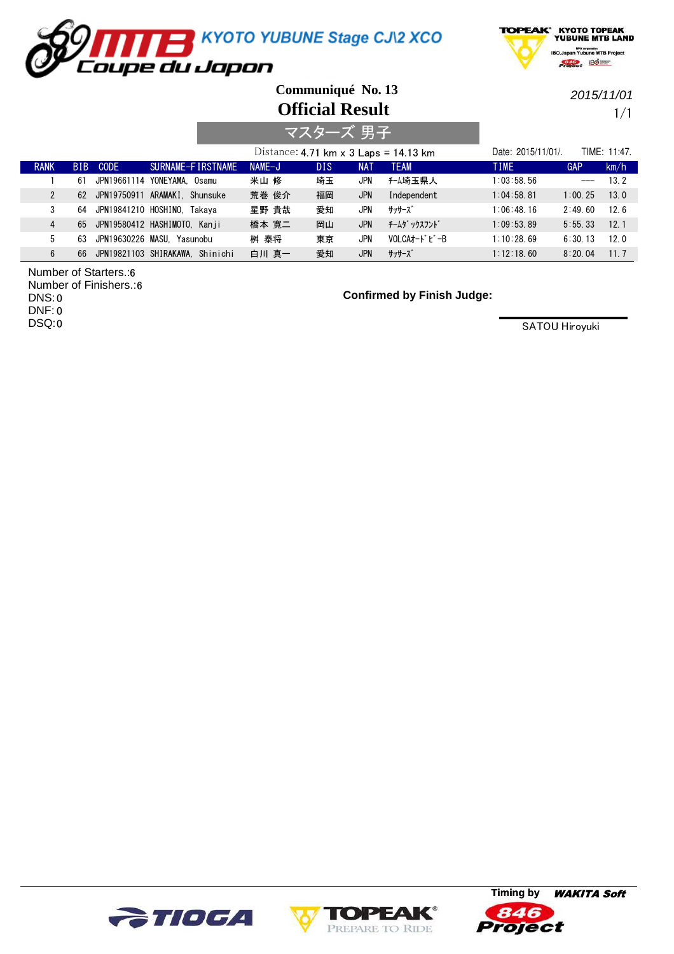



**Official Result Communiqué No. 13**

2015/11/01

1/1

|                |            |                       |                                 |          | マスターズ 男子   |            |                                              |                   |         |                 |
|----------------|------------|-----------------------|---------------------------------|----------|------------|------------|----------------------------------------------|-------------------|---------|-----------------|
|                |            |                       |                                 |          |            |            | Distance: 4.71 km $\times$ 3 Laps = 14.13 km | Date: 2015/11/01/ |         | TIME: 11:47.    |
| <b>RANK</b>    | <b>BIB</b> | <b>CODE</b>           | SURNAME-FIRSTNAME               | $NAME-J$ | <b>DIS</b> | NAT        | <b>TEAM</b>                                  | <b>TIME</b>       | GAP     | km/h            |
|                | 61         | JPN19661114 YONEYAMA. | Osamu                           | 米山 修     | 埼玉         | JPN        | チーム埼玉県人                                      | 1:03:58.56        | $---$   | 13.2            |
| $\mathcal{P}$  | 62         |                       | JPN19750911 ARAMAKI. Shunsuke   | 荒巻 俊介    | 福岡         | <b>JPN</b> | Independent                                  | 1:04:58.81        | 1:00.25 | 13.0            |
| 3              | 64         |                       | JPN19841210 HOSHINO. Takava     | 星野 貴哉    | 愛知         | JPN        | サッサース゛                                       | 1:06:48.16        | 2:49.60 | 126             |
| $\overline{4}$ | 65         |                       | JPN19580412 HASHIMOTO, Kanji    | 橋本 寛二    | 岡山         | <b>JPN</b> | チームダ ックスフント゛                                 | 1:09:53.89        | 5:55.33 | 12.1            |
| 5              | 63         | JPN19630226 MASU.     | Yasunobu                        | 桝 泰将     | 東京         | JPN        | VOLCAt-ドビーB                                  | 1:10:28.69        | 6:30.13 | 120             |
| 6              | 66         |                       | JPN19821103 SHIRAKAWA. Shinichi | 白川 真一    | 愛知         | <b>JPN</b> | サッサーズ゛                                       | 1:12:18.60        | 8:20.04 | 11 <sub>7</sub> |

6 Number of Starters.:

6 Number of Finishers.:

0 DNS: 0 DNF: 0 DSQ: **Confirmed by Finish Judge:**





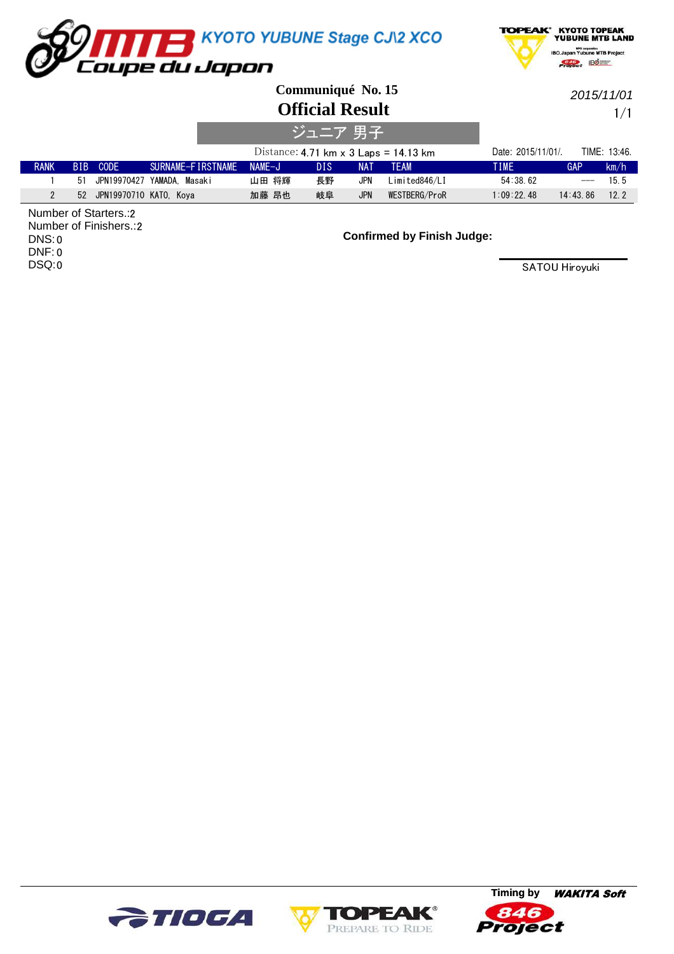



**Communiqué No. 15**

**Official Result**

1/1 2015/11/01

| ジュニア 男子     |    |                           |                   |                                              |     |            |                    |             |              |      |
|-------------|----|---------------------------|-------------------|----------------------------------------------|-----|------------|--------------------|-------------|--------------|------|
|             |    |                           |                   | Distance: 4.71 km $\times$ 3 Laps = 14.13 km |     |            | Date: 2015/11/01/. |             | TIME: 13:46. |      |
| <b>RANK</b> |    | BIB CODE                  | SURNAME-FIRSTNAME | $NAMF-J$                                     | DIS | NA1        | <b>TFAM</b>        | <b>TIME</b> | GAP          | km/h |
|             | 51 | JPN19970427               | YAMADA. Masaki    | 山田 将輝                                        | 長野  | JPN        | Limited846/LI      | 54:38.62    | $---$        | 15.5 |
|             |    | 52 JPN19970710 KATO, Koya |                   | 加藤 昂也                                        | 岐阜  | <b>JPN</b> | WESTBERG/ProR      | 1:09:22.48  | 14:43.86     | 12.2 |

2 Number of Starters.: 2 Number of Finishers.: 0 DNS: 0 DNF: 0 DSQ:

## **Confirmed by Finish Judge:**





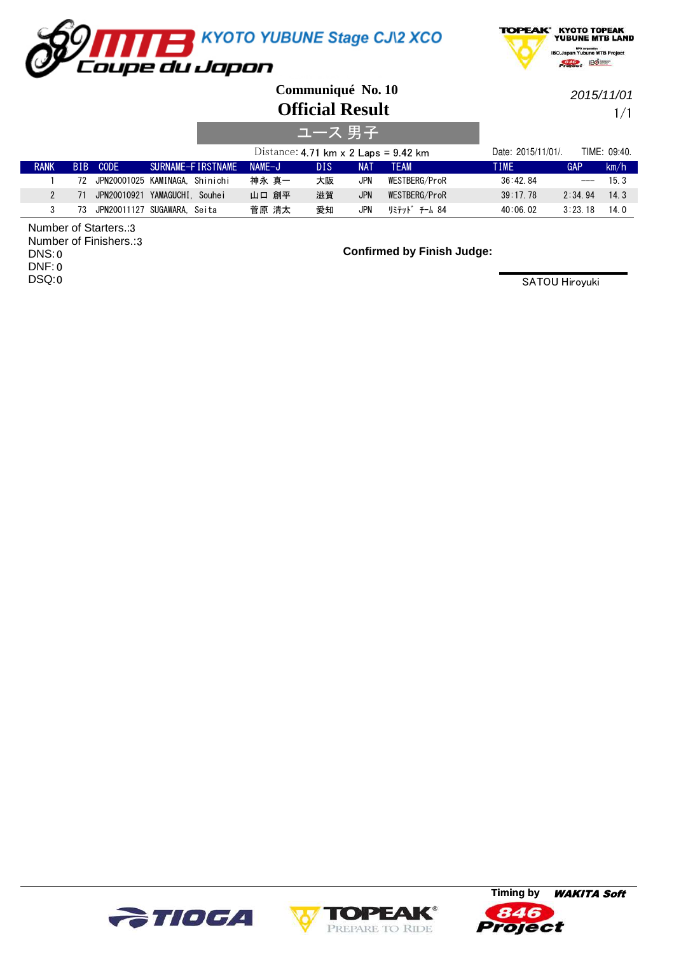



**Official Result Communiqué No. 10**

2015/11/01

1/1

|               |      |                       |                                   |                                             | ヘユース 男子    |            |               |                    |              |              |
|---------------|------|-----------------------|-----------------------------------|---------------------------------------------|------------|------------|---------------|--------------------|--------------|--------------|
|               |      |                       |                                   | Distance: 4.71 km $\times$ 2 Laps = 9.42 km |            |            |               | Date: 2015/11/01/. |              | TIME: 09:40. |
| <b>RANK</b>   | BIB. | CODE                  | SURNAME-FIRSTNAME                 | NAMF-J                                      | <b>DIS</b> | <b>NAT</b> | <b>TFAM</b>   | <b>TIME</b>        | GAP          | km/h         |
|               |      |                       | 72 JPN20001025 KAMINAGA. Shinichi | 神永 真一                                       | 大阪         | JPN        | WESTBERG/ProR | 36:42.84           |              | 15.3         |
| $\mathcal{P}$ | 71   |                       | JPN20010921 YAMAGUCHI. Souhei     | 山口 創平                                       | 滋賀         | <b>JPN</b> | WESTBERG/ProR | 39:17.78           | 2:34.94      | 14.3         |
|               | 73   | JPN20011127 SUGAWARA. | Seita                             | 菅原 清太                                       | 愛知         | JPN        | リミテット゛ チーム 84 | 40:06.02           | $3:23 \; 18$ | 14.0         |

3 Number of Starters.: Number of Finishers.:3 0 DNS: 0 DNF: 0 DSQ:

**Confirmed by Finish Judge:**





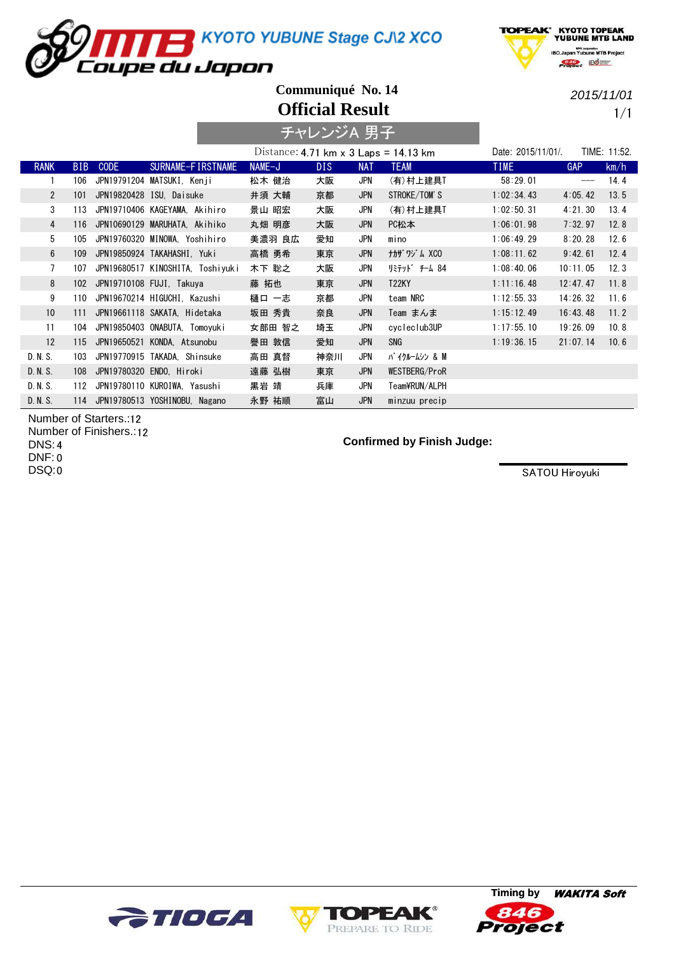KYOTO YUBUNE Stage CJ\2 XCO

oupe du Japon



**Official Result Communiqué No. 14**

2015/11/01

1/1

|                | チャレンジA 男子  |             |                                  |                                              |            |            |                    |                    |            |              |
|----------------|------------|-------------|----------------------------------|----------------------------------------------|------------|------------|--------------------|--------------------|------------|--------------|
|                |            |             |                                  | Distance: 4.71 km $\times$ 3 Laps = 14.13 km |            |            |                    | Date: 2015/11/01/. |            | TIME: 11:52. |
| <b>RANK</b>    | <b>BIB</b> | <b>CODE</b> | SURNAME-FIRSTNAME                | NAME-J                                       | <b>DIS</b> | <b>NAT</b> | <b>TEAM</b>        | <b>TIME</b>        | <b>GAP</b> | km/h         |
|                | 106        |             | JPN19791204 MATSUKI, Kenji       | 松木 健治                                        | 大阪         | JPN        | (有)村上建具T           | 58:29.01           |            | 14.4         |
| $\overline{2}$ | 101        |             | JPN19820428 ISU, Daisuke         | 井須 大輔                                        | 京都         | <b>JPN</b> | STROKE/TOM'S       | 1:02:34.43         | 4:05.42    | 13.5         |
| 3              | 113        |             | JPN19710406 KAGEYAMA, Akihiro    | 景山 昭宏                                        | 大阪         | JPN        | (有)村上建具T           | 1:02:50.31         | 4:21.30    | 13.4         |
| $\overline{4}$ | 116        |             | JPN10690129 MARUHATA, Akihiko    | 丸畑 明彦                                        | 大阪         | JPN        | PC松本               | 1:06:01.98         | 7:32.97    | 12.8         |
| 5              | 105        |             | JPN19760320 MINOWA. Yoshihiro    | 美濃羽 良広                                       | 愛知         | <b>JPN</b> | mino               | 1:06:49.29         | 8:20.28    | 12.6         |
| 6              | 109        |             | JPN19850924 TAKAHASHI. Yuki      | 高橋 勇希                                        | 東京         | <b>JPN</b> | <b>ナカザ ワジム XCO</b> | 1:08:11.62         | 9:42.61    | 12.4         |
| $\overline{7}$ | 107        |             | JPN19680517 KINOSHITA, Toshiyuki | 木下 聡之                                        | 大阪         | JPN        | リミテット゛ チーム 84      | 1:08:40.06         | 10:11.05   | 12.3         |
| 8              | 102        |             | JPN19710108 FUJI, Takuya         | 藤 拓也                                         | 東京         | <b>JPN</b> | <b>T22KY</b>       | 1:11:16.48         | 12:47.47   | 11.8         |
| 9              | 110        |             | JPN19670214 HIGUCHI, Kazushi     | 樋口 一志                                        | 京都         | JPN        | team NRC           | 1:12:55.33         | 14:26.32   | 11.6         |
| 10             | 111        |             | JPN19661118 SAKATA, Hidetaka     | 坂田 秀貴                                        | 奈良         | <b>JPN</b> | Team まんま           | 1:15:12.49         | 16:43.48   | 11.2         |
| 11             | 104        |             | JPN19850403 ONABUTA, Tomoyuki    | 女部田 智之                                       | 埼玉         | <b>JPN</b> | cycleclub3UP       | 1:17:55.10         | 19:26.09   | 10.8         |
| 12             | 115        |             | JPN19650521 KONDA, Atsunobu      | 譽田 敦信                                        | 愛知         | <b>JPN</b> | SNG                | 1:19:36.15         | 21:07.14   | 10.6         |
| D. N. S.       | 103        |             | JPN19770915 TAKADA. Shinsuke     | 高田 真督                                        | 神奈川        | JPN        | バイクルームシン & M       |                    |            |              |
| D. N. S.       | 108        |             | JPN19780320 ENDO. Hiroki         | 遠藤 弘樹                                        | 東京         | <b>JPN</b> | WESTBERG/ProR      |                    |            |              |
| D. N. S.       | 112        |             | JPN19780110 KUROIWA, Yasushi     | 黒岩 靖                                         | 兵庫         | JPN        | Team¥RUN/ALPH      |                    |            |              |
| D. N. S.       | 114        |             | JPN19780513 YOSHINOBU, Nagano    | 永野 祐順                                        | 富山         | <b>JPN</b> | minzuu precip      |                    |            |              |

Number of Starters.:12 Number of Finishers.: 12 4 DNS: 0 DNF:

0 DSQ:

**Confirmed by Finish Judge:**





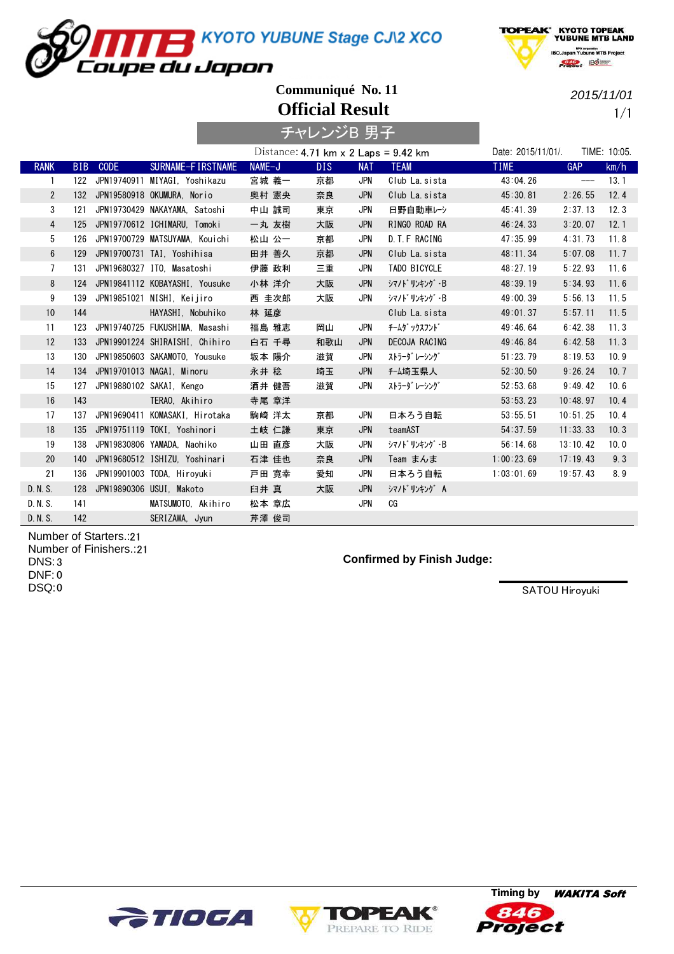**TAN TEMPE STATE STATE CAN ASSESS**<br>Trupe du Japon



**Official Result Communiqué No. 11**

1/1 2015/11/01

|                |     |          |                                |                                                                     | チャレンジB 男子 |            |                |                    |                                              |              |
|----------------|-----|----------|--------------------------------|---------------------------------------------------------------------|-----------|------------|----------------|--------------------|----------------------------------------------|--------------|
|                |     |          |                                | Distance: $4.71 \text{ km} \times 2 \text{ Laps} = 9.42 \text{ km}$ |           |            |                | Date: 2015/11/01/. |                                              | TIME: 10:05. |
| <b>RANK</b>    |     | BIB CODE | SURNAME-FIRSTNAME              | NAME-J                                                              | DIS.      | <b>NAT</b> | <b>TEAM</b>    | <b>TIME</b>        | <b>GAP</b>                                   | km/h         |
| 1              | 122 |          | JPN19740911 MIYAGI, Yoshikazu  | 宮城 義一                                                               | 京都        | JPN        | Club La. sista | 43:04.26           | $\hspace{1.5cm} \textbf{---} \hspace{1.5cm}$ | 13.1         |
| $\overline{2}$ |     |          | 132 JPN19580918 OKUMURA. Norio | 奥村 憲央                                                               | 奈良        | <b>JPN</b> | Club La. sista | 45:30.81           | 2:26.55                                      | 12.4         |
| 3              | 121 |          | JPN19730429 NAKAYAMA, Satoshi  | 中山 誠司                                                               | 東京        | JPN        | 日野自動車レシ        | 45:41.39           | 2:37.13                                      | 12.3         |
| $\overline{4}$ | 125 |          | JPN19770612 ICHIMARU, Tomoki   | 一丸 友樹                                                               | 大阪        | <b>JPN</b> | RINGO ROAD RA  | 46:24.33           | 3:20.07                                      | 12.1         |
| 5              | 126 |          | JPN19700729 MATSUYAMA, Kouichi | 松山 公一                                                               | 京都        | <b>JPN</b> | D. T. F RACING | 47:35.99           | 4:31.73                                      | 11.8         |
| 6              | 129 |          | JPN19700731 TAI, Yoshihisa     | 田井 善久                                                               | 京都        | <b>JPN</b> | Club La. sista | 48:11.34           | 5:07.08                                      | 11.7         |
| $\overline{7}$ | 131 |          | JPN19680327 ITO. Masatoshi     | 伊藤 政利                                                               | 三重        | JPN        | TADO BICYCLE   | 48:27.19           | 5:22.93                                      | 11.6         |
| 8              | 124 |          | JPN19841112 KOBAYASHI, Yousuke | 小林 洋介                                                               | 大阪        | <b>JPN</b> | シマノドリンキング・B    | 48:39.19           | 5:34.93                                      | 11.6         |
| 9              | 139 |          | JPN19851021 NISHI, Keijiro     | 西 圭次郎                                                               | 大阪        | JPN        | シマノドリンキング・B    | 49:00.39           | 5:56.13                                      | 11.5         |
| 10             | 144 |          | HAYASHI, Nobuhiko              | 林 延彦                                                                |           |            | Club La. sista | 49:01.37           | 5:57.11                                      | 11.5         |
| 11             | 123 |          | JPN19740725 FUKUSHIMA. Masashi | 福島 雅志                                                               | 岡山        | JPN        | チームダ ックスフント゛   | 49:46.64           | 6:42.38                                      | 11.3         |
| 12             | 133 |          | JPN19901224 SHIRAISHI, Chihiro | 白石 千尋                                                               | 和歌山       | <b>JPN</b> | DECOJA RACING  | 49:46.84           | 6:42.58                                      | 11.3         |
| 13             | 130 |          | JPN19850603 SAKAMOTO, Yousuke  | 坂本 陽介                                                               | 滋賀        | JPN        | ストラーダ レーシング    | 51:23.79           | 8:19.53                                      | 10.9         |
| 14             | 134 |          | JPN19701013 NAGAI. Minoru      | 永井 稔                                                                | 埼玉        | <b>JPN</b> | <b>f-ム埼玉県人</b> | 52:30.50           | 9:26.24                                      | 10.7         |
| 15             | 127 |          | JPN19880102 SAKAI, Kengo       | 酒井 健吾                                                               | 滋賀        | JPN        | ストラーダ レーシング    | 52:53.68           | 9:49.42                                      | 10.6         |
| 16             | 143 |          | TERAO, Akihiro                 | 寺尾 章洋                                                               |           |            |                | 53:53.23           | 10:48.97                                     | 10.4         |
| 17             | 137 |          | JPN19690411 KOMASAKI, Hirotaka | 駒崎 洋太                                                               | 京都        | JPN        | 日本ろう自転         | 53:55.51           | 10:51.25                                     | 10.4         |
| 18             | 135 |          | JPN19751119 TOKI, Yoshinori    | 土岐 仁謙                                                               | 東京        | <b>JPN</b> | teamAST        | 54:37.59           | 11:33.33                                     | 10.3         |
| 19             | 138 |          | JPN19830806 YAMADA. Naohiko    | 山田 直彦                                                               | 大阪        | <b>JPN</b> | シマノドリンキング・B    | 56:14.68           | 13:10.42                                     | 10.0         |
| 20             | 140 |          | JPN19680512 ISHIZU, Yoshinari  | 石津 佳也                                                               | 奈良        | <b>JPN</b> | Team まんま       | 1:00:23.69         | 17:19.43                                     | 9.3          |
| 21             | 136 |          | JPN19901003 TODA, Hiroyuki     | 戸田 寛幸                                                               | 愛知        | JPN        | 日本ろう自転         | 1:03:01.69         | 19:57.43                                     | 8.9          |
| D. N. S.       | 128 |          | JPN19890306 USUI, Makoto       | 臼井 真                                                                | 大阪        | <b>JPN</b> | シマノト゛リンキング A   |                    |                                              |              |
| D. N. S.       | 141 |          | MATSUMOTO, Akihiro             | 松本 章広                                                               |           | <b>JPN</b> | СG             |                    |                                              |              |
| D. N. S.       | 142 |          | SERIZAWA, Jyun                 | 芹澤 俊司                                                               |           |            |                |                    |                                              |              |

Number of Starters.: 21 Number of Finishers.: 21 3 DNS: 0 DNF: 0 DSQ:

## **Confirmed by Finish Judge:**